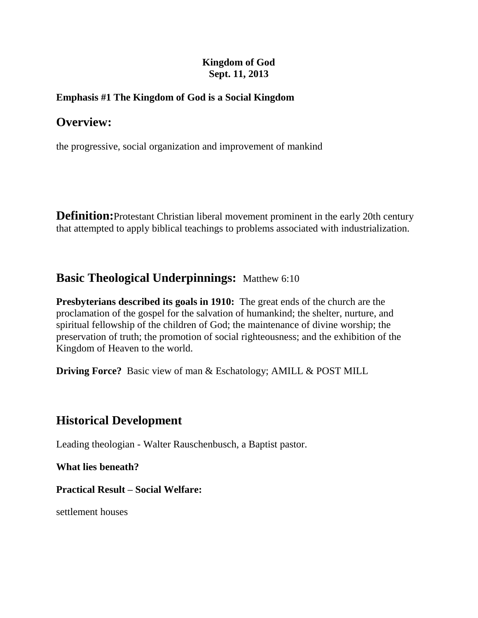## **Kingdom of God Sept. 11, 2013**

## **Emphasis #1 The Kingdom of God is a Social Kingdom**

# **Overview:**

the progressive, social organization and improvement of mankind

**Definition:**[Protestant Christian](http://en.wikipedia.org/wiki/Protestantism) liberal movement prominent in the early 20th century that attempted to apply biblical teachings to problems associated with industrialization.

# **Basic Theological Underpinnings:** Matthew 6:10

**Presbyterians described its goals in 1910:** The great ends of the church are the proclamation of the gospel for the salvation of humankind; the shelter, nurture, and spiritual fellowship of the children of God; the maintenance of divine worship; the preservation of truth; the promotion of social righteousness; and the exhibition of the Kingdom of Heaven to the world.

**Driving Force?** Basic view of man & Eschatology; AMILL & POST MILL

# **Historical Development**

Leading theologian - [Walter Rauschenbusch,](http://en.wikipedia.org/wiki/Walter_Rauschenbusch) a Baptist pastor.

**What lies beneath?** 

### **Practical Result – Social Welfare:**

settlement houses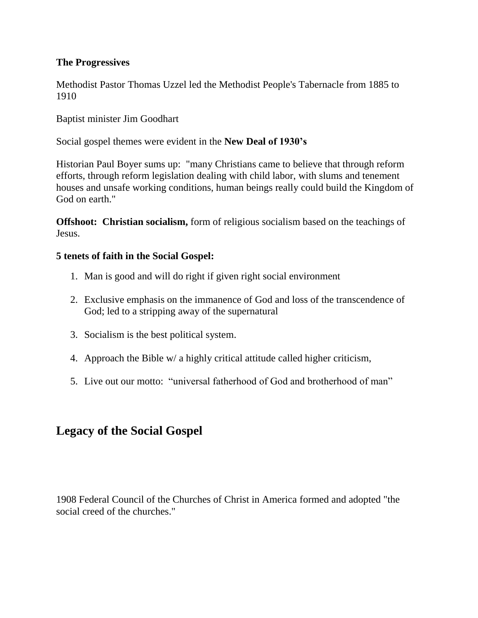### **The Progressives**

Methodist Pastor Thomas Uzzel led the Methodist People's Tabernacle from 1885 to 1910

Baptist minister Jim Goodhart

Social gospel themes were evident in the **New Deal of 1930's**

Historian Paul Boyer sums up: "many Christians came to believe that through reform efforts, through reform legislation dealing with child labor, with slums and tenement houses and unsafe working conditions, human beings really could build the Kingdom of God on earth."

**Offshoot: Christian socialism,** form of [religious socialism](http://en.wikipedia.org/wiki/Religious_socialism) based on the teachings of [Jesus.](http://en.wikipedia.org/wiki/Jesus)

### **5 tenets of faith in the Social Gospel:**

- 1. Man is good and will do right if given right social environment
- 2. Exclusive emphasis on the immanence of God and loss of the transcendence of God; led to a stripping away of the supernatural
- 3. Socialism is the best political system.
- 4. Approach the Bible w/ a highly critical attitude called higher criticism,
- 5. Live out our motto: "universal fatherhood of God and brotherhood of man"

# **Legacy of the Social Gospel**

1908 Federal Council of the Churches of Christ in America formed and adopted "the social creed of the churches."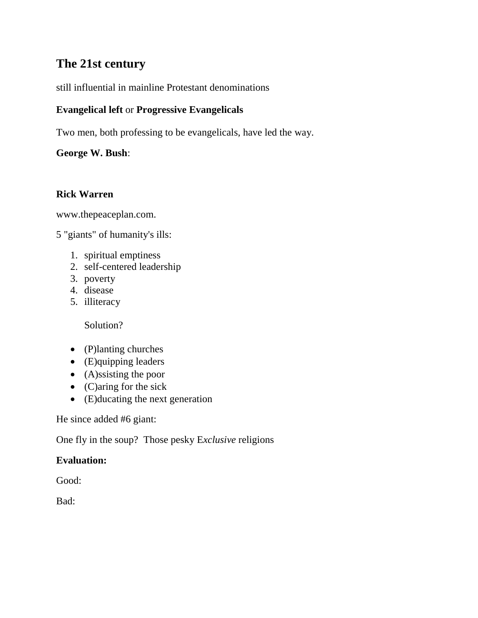# **The 21st century**

still influential in [mainline Protestant](http://en.wikipedia.org/wiki/Mainline_Protestant) denominations

# **Evangelical left** or **Progressive Evangelicals**

Two men, both professing to be evangelicals, have led the way.

**George W. Bush**:

## **Rick Warren**

[www.thepeaceplan.com.](http://www.thepeaceplan.com/)

5 "giants" of humanity's ills:

- 1. spiritual emptiness
- 2. self-centered leadership
- 3. poverty
- 4. disease
- 5. illiteracy

Solution?

- (P)lanting churches
- (E)quipping leaders
- (A)ssisting the poor
- (C)aring for the sick
- (E)ducating the next generation

He since added #6 giant:

One fly in the soup? Those pesky E*xclusive* religions

# **Evaluation:**

Good:

Bad: